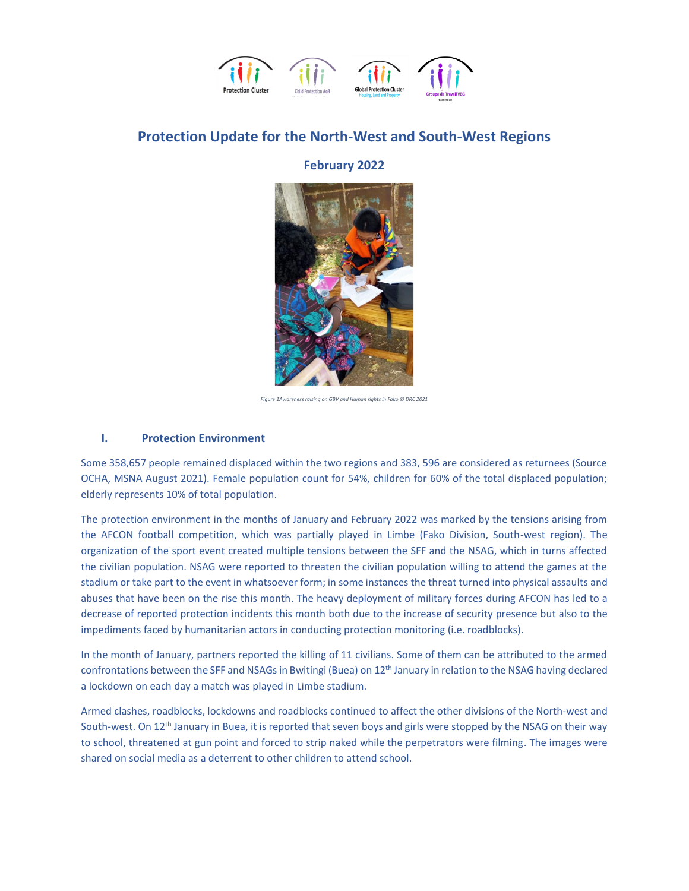

## **Protection Update for the North-West and South-West Regions**

## **February 2022**



*Figure 1Awareness raising on GBV and Human rights in Fako © DRC 2021*

### **I. Protection Environment**

Some 358,657 people remained displaced within the two regions and 383, 596 are considered as returnees (Source OCHA, MSNA August 2021). Female population count for 54%, children for 60% of the total displaced population; elderly represents 10% of total population.

The protection environment in the months of January and February 2022 was marked by the tensions arising from the AFCON football competition, which was partially played in Limbe (Fako Division, South-west region). The organization of the sport event created multiple tensions between the SFF and the NSAG, which in turns affected the civilian population. NSAG were reported to threaten the civilian population willing to attend the games at the stadium or take part to the event in whatsoever form; in some instances the threat turned into physical assaults and abuses that have been on the rise this month. The heavy deployment of military forces during AFCON has led to a decrease of reported protection incidents this month both due to the increase of security presence but also to the impediments faced by humanitarian actors in conducting protection monitoring (i.e. roadblocks).

In the month of January, partners reported the killing of 11 civilians. Some of them can be attributed to the armed confrontations between the SFF and NSAGs in Bwitingi (Buea) on 12<sup>th</sup> January in relation to the NSAG having declared a lockdown on each day a match was played in Limbe stadium.

Armed clashes, roadblocks, lockdowns and roadblocks continued to affect the other divisions of the North-west and South-west. On 12<sup>th</sup> January in Buea, it is reported that seven boys and girls were stopped by the NSAG on their way to school, threatened at gun point and forced to strip naked while the perpetrators were filming. The images were shared on social media as a deterrent to other children to attend school.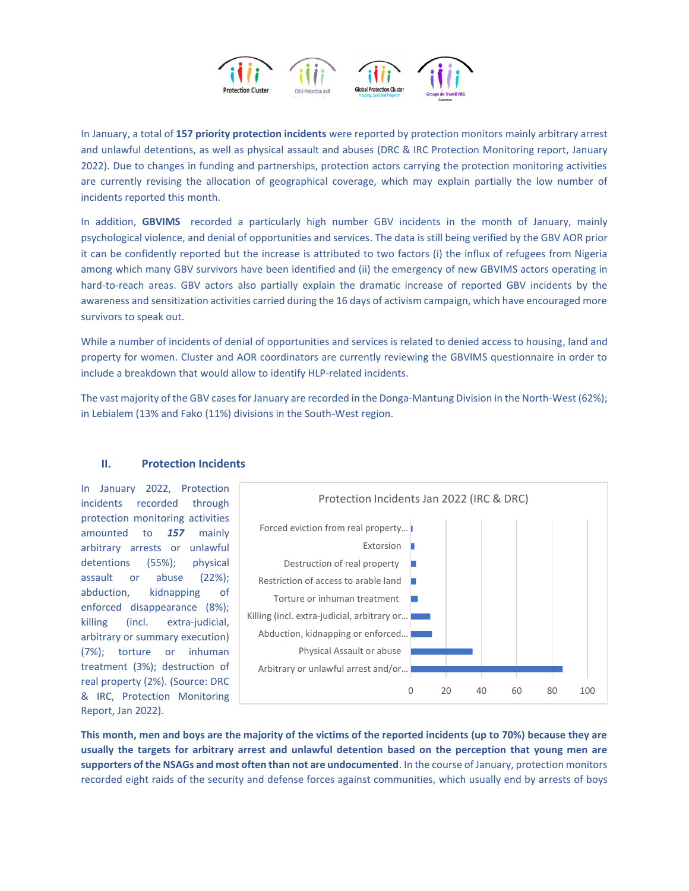

In January, a total of **157 priority protection incidents** were reported by protection monitors mainly arbitrary arrest and unlawful detentions, as well as physical assault and abuses (DRC & IRC Protection Monitoring report, January 2022). Due to changes in funding and partnerships, protection actors carrying the protection monitoring activities are currently revising the allocation of geographical coverage, which may explain partially the low number of incidents reported this month.

In addition, **GBVIMS** recorded a particularly high number GBV incidents in the month of January, mainly psychological violence, and denial of opportunities and services. The data is still being verified by the GBV AOR prior it can be confidently reported but the increase is attributed to two factors (i) the influx of refugees from Nigeria among which many GBV survivors have been identified and (ii) the emergency of new GBVIMS actors operating in hard-to-reach areas. GBV actors also partially explain the dramatic increase of reported GBV incidents by the awareness and sensitization activities carried during the 16 days of activism campaign, which have encouraged more survivors to speak out.

While a number of incidents of denial of opportunities and services is related to denied access to housing, land and property for women. Cluster and AOR coordinators are currently reviewing the GBVIMS questionnaire in order to include a breakdown that would allow to identify HLP-related incidents.

The vast majority of the GBV cases for January are recorded in the Donga-Mantung Division in the North-West (62%); in Lebialem (13% and Fako (11%) divisions in the South-West region.



## **II. Protection Incidents**

incidents recorded through protection monitoring activities amounted to *157* mainly arbitrary arrests or unlawful detentions (55%); physical assault or abuse (22%); abduction, kidnapping of enforced disappearance (8%); killing (incl. extra-judicial, arbitrary or summary execution) (7%); torture or inhuman treatment (3%); destruction of real property (2%). (Source: DRC & IRC, Protection Monitoring Report, Jan 2022).

**This month, men and boys are the majority of the victims of the reported incidents (up to 70%) because they are usually the targets for arbitrary arrest and unlawful detention based on the perception that young men are supporters of the NSAGs and most often than not are undocumented**. In the course of January, protection monitors recorded eight raids of the security and defense forces against communities, which usually end by arrests of boys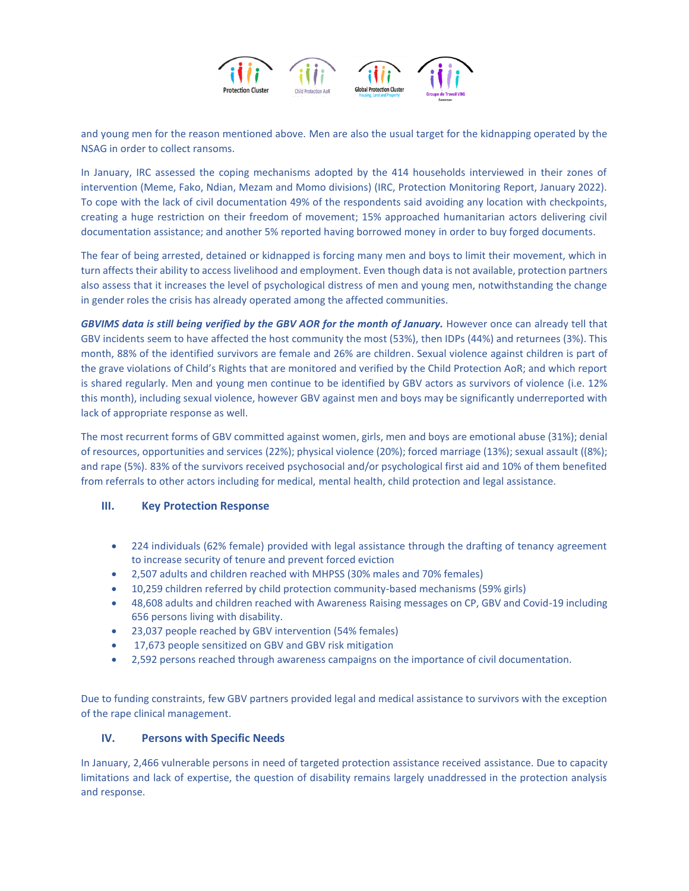

and young men for the reason mentioned above. Men are also the usual target for the kidnapping operated by the NSAG in order to collect ransoms.

In January, IRC assessed the coping mechanisms adopted by the 414 households interviewed in their zones of intervention (Meme, Fako, Ndian, Mezam and Momo divisions) (IRC, Protection Monitoring Report, January 2022). To cope with the lack of civil documentation 49% of the respondents said avoiding any location with checkpoints, creating a huge restriction on their freedom of movement; 15% approached humanitarian actors delivering civil documentation assistance; and another 5% reported having borrowed money in order to buy forged documents.

The fear of being arrested, detained or kidnapped is forcing many men and boys to limit their movement, which in turn affects their ability to access livelihood and employment. Even though data is not available, protection partners also assess that it increases the level of psychological distress of men and young men, notwithstanding the change in gender roles the crisis has already operated among the affected communities.

*GBVIMS data is still being verified by the GBV AOR for the month of January.* However once can already tell that GBV incidents seem to have affected the host community the most (53%), then IDPs (44%) and returnees (3%). This month, 88% of the identified survivors are female and 26% are children. Sexual violence against children is part of the grave violations of Child's Rights that are monitored and verified by the Child Protection AoR; and which report is shared regularly. Men and young men continue to be identified by GBV actors as survivors of violence (i.e. 12% this month), including sexual violence, however GBV against men and boys may be significantly underreported with lack of appropriate response as well.

The most recurrent forms of GBV committed against women, girls, men and boys are emotional abuse (31%); denial of resources, opportunities and services (22%); physical violence (20%); forced marriage (13%); sexual assault ((8%); and rape (5%). 83% of the survivors received psychosocial and/or psychological first aid and 10% of them benefited from referrals to other actors including for medical, mental health, child protection and legal assistance.

### **III. Key Protection Response**

- 224 individuals (62% female) provided with legal assistance through the drafting of tenancy agreement to increase security of tenure and prevent forced eviction
- 2,507 adults and children reached with MHPSS (30% males and 70% females)
- 10,259 children referred by child protection community-based mechanisms (59% girls)
- 48,608 adults and children reached with Awareness Raising messages on CP, GBV and Covid-19 including 656 persons living with disability.
- 23,037 people reached by GBV intervention (54% females)
- 17,673 people sensitized on GBV and GBV risk mitigation
- 2,592 persons reached through awareness campaigns on the importance of civil documentation.

Due to funding constraints, few GBV partners provided legal and medical assistance to survivors with the exception of the rape clinical management.

### **IV. Persons with Specific Needs**

In January, 2,466 vulnerable persons in need of targeted protection assistance received assistance. Due to capacity limitations and lack of expertise, the question of disability remains largely unaddressed in the protection analysis and response.